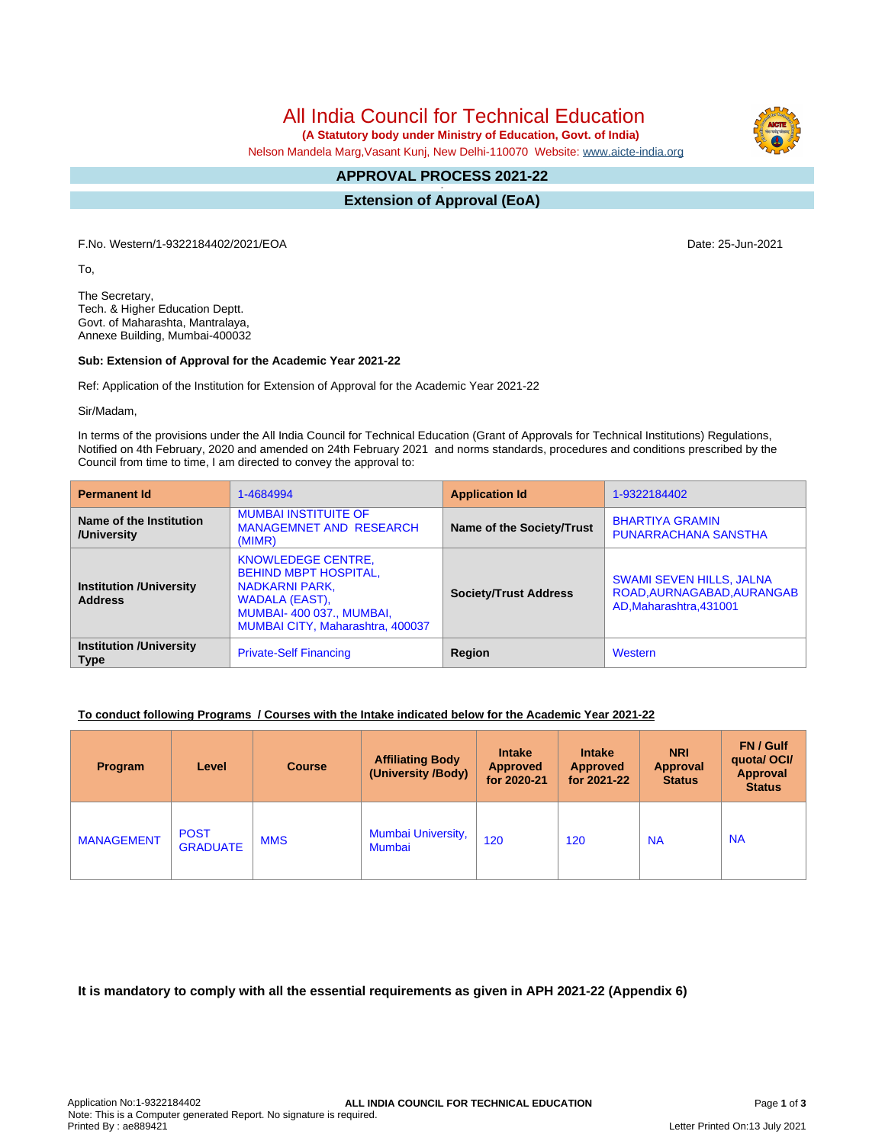All India Council for Technical Education

 **(A Statutory body under Ministry of Education, Govt. of India)**

Nelson Mandela Marg,Vasant Kunj, New Delhi-110070 Website: [www.aicte-india.org](http://www.aicte-india.org)

#### **APPROVAL PROCESS 2021-22 -**

**Extension of Approval (EoA)**

F.No. Western/1-9322184402/2021/EOA Date: 25-Jun-2021

To,

The Secretary, Tech. & Higher Education Deptt. Govt. of Maharashta, Mantralaya, Annexe Building, Mumbai-400032

#### **Sub: Extension of Approval for the Academic Year 2021-22**

Ref: Application of the Institution for Extension of Approval for the Academic Year 2021-22

Sir/Madam,

In terms of the provisions under the All India Council for Technical Education (Grant of Approvals for Technical Institutions) Regulations, Notified on 4th February, 2020 and amended on 24th February 2021 and norms standards, procedures and conditions prescribed by the Council from time to time, I am directed to convey the approval to:

| <b>Permanent Id</b>                              | 1-4684994                                                                                                                                                     | <b>Application Id</b>        | 1-9322184402                                                                             |  |
|--------------------------------------------------|---------------------------------------------------------------------------------------------------------------------------------------------------------------|------------------------------|------------------------------------------------------------------------------------------|--|
| Name of the Institution<br>/University           | <b>MUMBAI INSTITUITE OF</b><br><b>MANAGEMNET AND RESEARCH</b><br>(MIMR)                                                                                       | Name of the Society/Trust    | <b>BHARTIYA GRAMIN</b><br><b>PUNARRACHANA SANSTHA</b>                                    |  |
| <b>Institution /University</b><br><b>Address</b> | <b>KNOWLEDEGE CENTRE,</b><br><b>BEHIND MBPT HOSPITAL,</b><br>NADKARNI PARK.<br>WADALA (EAST),<br>MUMBAI-400 037., MUMBAI,<br>MUMBAI CITY, Maharashtra, 400037 | <b>Society/Trust Address</b> | <b>SWAMI SEVEN HILLS, JALNA</b><br>ROAD, AURNAGABAD, AURANGAB<br>AD, Maharashtra, 431001 |  |
| <b>Institution /University</b><br><b>Type</b>    | <b>Private-Self Financing</b>                                                                                                                                 | Region                       | Western                                                                                  |  |

## **To conduct following Programs / Courses with the Intake indicated below for the Academic Year 2021-22**

| Program           | Level                          | <b>Course</b> | <b>Affiliating Body</b><br>(University /Body) | <b>Intake</b><br><b>Approved</b><br>for 2020-21 | <b>Intake</b><br><b>Approved</b><br>for 2021-22 | <b>NRI</b><br>Approval<br><b>Status</b> | <b>FN/Gulf</b><br>quotal OCI/<br><b>Approval</b><br><b>Status</b> |
|-------------------|--------------------------------|---------------|-----------------------------------------------|-------------------------------------------------|-------------------------------------------------|-----------------------------------------|-------------------------------------------------------------------|
| <b>MANAGEMENT</b> | <b>POST</b><br><b>GRADUATE</b> | <b>MMS</b>    | Mumbai University,<br>Mumbai                  | 120                                             | 120                                             | <b>NA</b>                               | <b>NA</b>                                                         |

**It is mandatory to comply with all the essential requirements as given in APH 2021-22 (Appendix 6)**